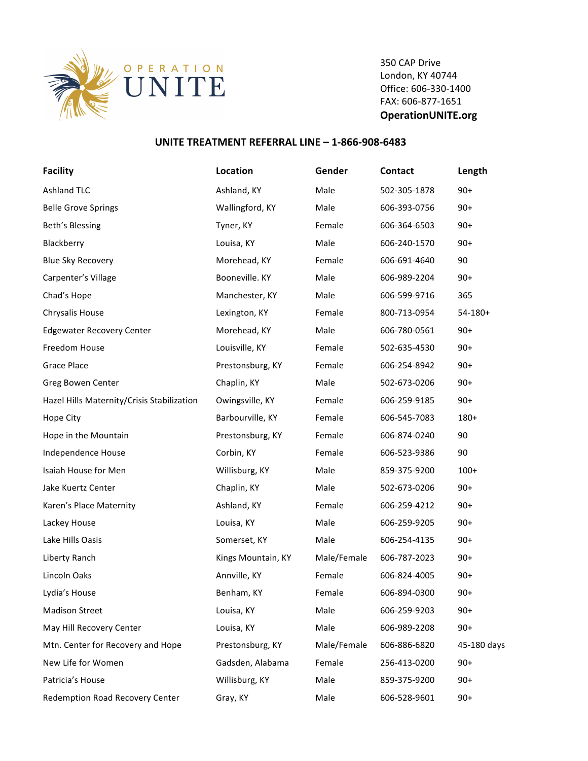

350 CAP Drive London, KY 40744 Office: 606-330-1400 FAX: 606-877-1651 **OperationUNITE.org**

## **UNITE TREATMENT REFERRAL LINE - 1-866-908-6483**

| <b>Facility</b>                            | Location           | Gender      | Contact      | Length       |
|--------------------------------------------|--------------------|-------------|--------------|--------------|
| <b>Ashland TLC</b>                         | Ashland, KY        | Male        | 502-305-1878 | $90+$        |
| <b>Belle Grove Springs</b>                 | Wallingford, KY    | Male        | 606-393-0756 | $90+$        |
| Beth's Blessing                            | Tyner, KY          | Female      | 606-364-6503 | $90+$        |
| Blackberry                                 | Louisa, KY         | Male        | 606-240-1570 | $90+$        |
| <b>Blue Sky Recovery</b>                   | Morehead, KY       | Female      | 606-691-4640 | 90           |
| Carpenter's Village                        | Booneville. KY     | Male        | 606-989-2204 | $90+$        |
| Chad's Hope                                | Manchester, KY     | Male        | 606-599-9716 | 365          |
| Chrysalis House                            | Lexington, KY      | Female      | 800-713-0954 | $54 - 180 +$ |
| <b>Edgewater Recovery Center</b>           | Morehead, KY       | Male        | 606-780-0561 | $90+$        |
| Freedom House                              | Louisville, KY     | Female      | 502-635-4530 | $90+$        |
| <b>Grace Place</b>                         | Prestonsburg, KY   | Female      | 606-254-8942 | $90+$        |
| Greg Bowen Center                          | Chaplin, KY        | Male        | 502-673-0206 | $90+$        |
| Hazel Hills Maternity/Crisis Stabilization | Owingsville, KY    | Female      | 606-259-9185 | $90+$        |
| Hope City                                  | Barbourville, KY   | Female      | 606-545-7083 | 180+         |
| Hope in the Mountain                       | Prestonsburg, KY   | Female      | 606-874-0240 | 90           |
| Independence House                         | Corbin, KY         | Female      | 606-523-9386 | 90           |
| Isaiah House for Men                       | Willisburg, KY     | Male        | 859-375-9200 | $100+$       |
| Jake Kuertz Center                         | Chaplin, KY        | Male        | 502-673-0206 | $90+$        |
| Karen's Place Maternity                    | Ashland, KY        | Female      | 606-259-4212 | $90+$        |
| Lackey House                               | Louisa, KY         | Male        | 606-259-9205 | $90+$        |
| Lake Hills Oasis                           | Somerset, KY       | Male        | 606-254-4135 | $90+$        |
| Liberty Ranch                              | Kings Mountain, KY | Male/Female | 606-787-2023 | $90+$        |
| Lincoln Oaks                               | Annville, KY       | Female      | 606-824-4005 | $90+$        |
| Lydia's House                              | Benham, KY         | Female      | 606-894-0300 | $90+$        |
| <b>Madison Street</b>                      | Louisa, KY         | Male        | 606-259-9203 | $90+$        |
| May Hill Recovery Center                   | Louisa, KY         | Male        | 606-989-2208 | $90+$        |
| Mtn. Center for Recovery and Hope          | Prestonsburg, KY   | Male/Female | 606-886-6820 | 45-180 days  |
| New Life for Women                         | Gadsden, Alabama   | Female      | 256-413-0200 | $90+$        |
| Patricia's House                           | Willisburg, KY     | Male        | 859-375-9200 | $90+$        |
| Redemption Road Recovery Center            | Gray, KY           | Male        | 606-528-9601 | $90+$        |